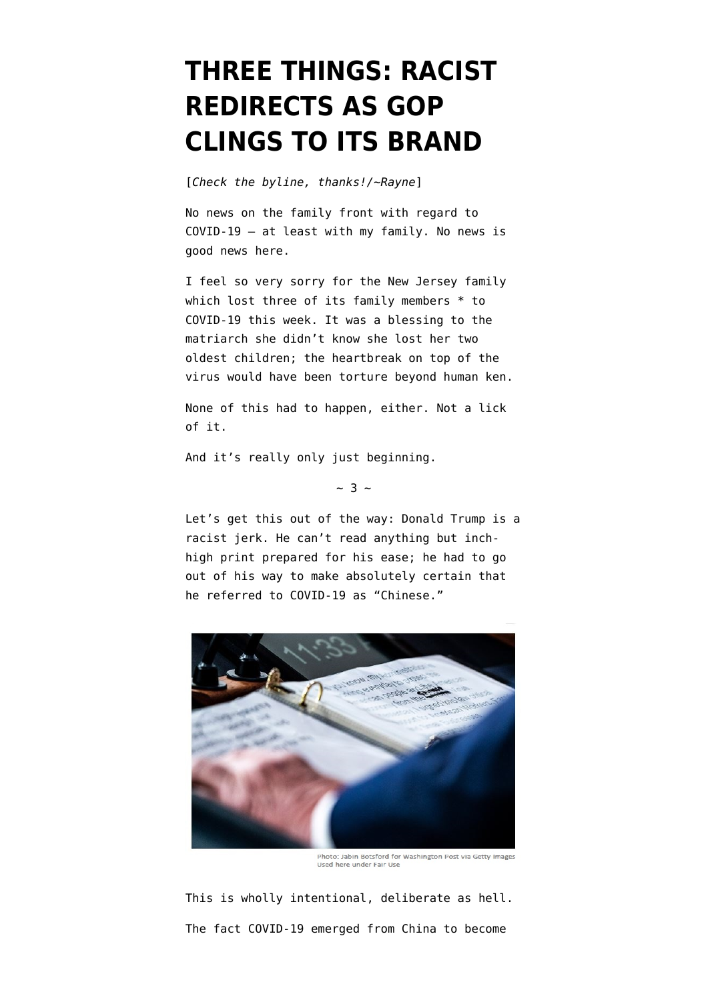## **[THREE THINGS: RACIST](https://www.emptywheel.net/2020/03/20/three-things-racist-redirects-as-gop-clings-to-its-brand/) [REDIRECTS AS GOP](https://www.emptywheel.net/2020/03/20/three-things-racist-redirects-as-gop-clings-to-its-brand/) [CLINGS TO ITS BRAND](https://www.emptywheel.net/2020/03/20/three-things-racist-redirects-as-gop-clings-to-its-brand/)**

[*Check the byline, thanks!/~Rayne*]

No news on the family front with regard to COVID-19 — at least with my family. No news is good news here.

I feel so very sorry for the New Jersey family which [lost three of its family members](https://www.thedailybeast.com/grace-fusco-becomes-third-member-of-new-jersey-family-to-die-of-covid-19) \* to COVID-19 this week. It was a blessing to the matriarch she didn't know she lost her two oldest children; the heartbreak on top of the virus would have been torture beyond human ken.

None of this had to happen, either. Not a lick of it.

And it's really only just beginning.

 $~\sim$  3  $~\sim$ 

Let's get this out of the way: Donald Trump is a racist jerk. He can't read anything but inchhigh print prepared for his ease; he had to go out of his way to make absolutely certain that he referred to COVID-19 as "Chinese."



Photo: Jabin Botsford for Washington Post via Getty Images Used here under Fair Use

This is wholly intentional, deliberate as hell. The fact COVID-19 emerged from China to become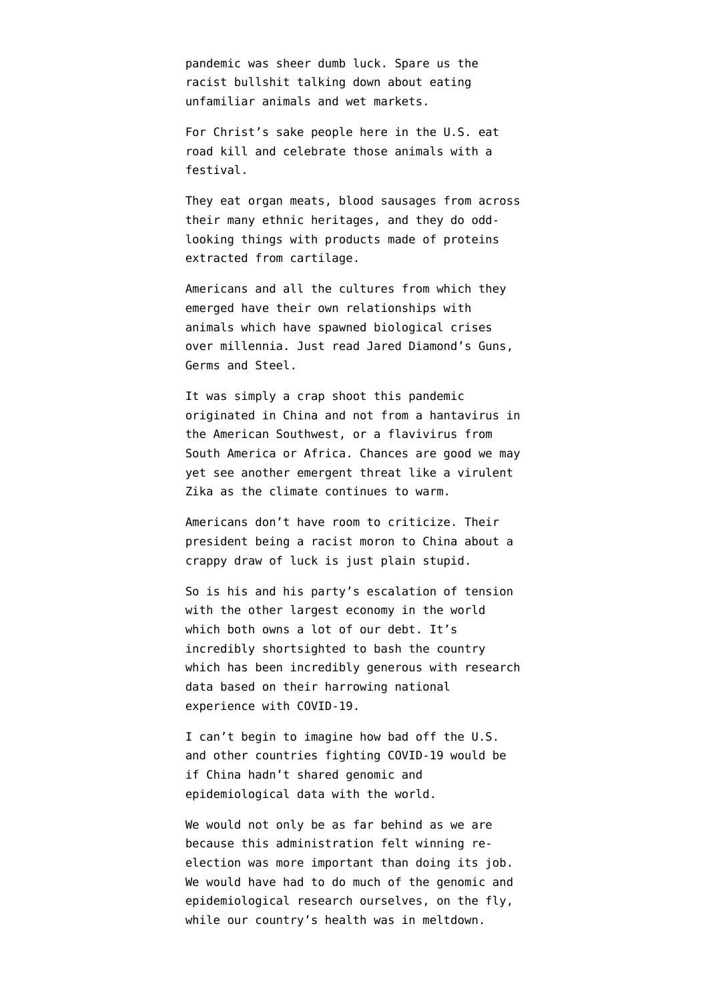pandemic was sheer dumb luck. Spare us the racist bullshit talking down about eating unfamiliar animals and wet markets.

For Christ's sake people here in the U.S. eat road kill and [celebrate those animals with a](https://www.atlasobscura.com/foods/roadkill-cookoff) [festival.](https://www.atlasobscura.com/foods/roadkill-cookoff)

They eat [organ meats](https://www.tastecooking.com/fried-chicken-liver-lately/), [blood sausage](https://sausage.fandom.com/wiki/Blood_sausage)s from across their many ethnic heritages, and they do [odd](https://whatscookingamerica.net/Salad/tomatoaspic.htm)[looking things](https://whatscookingamerica.net/Salad/tomatoaspic.htm) with [products made of proteins](https://www.atlasobscura.com/foods/louisiana-hogs-head-cheese) extracted from cartilage.

Americans and all the cultures from which they emerged have their own relationships with animals which have spawned biological crises over millennia. Just read Jared Diamond's [Guns,](https://en.wikipedia.org/wiki/Guns,_Germs,_and_Steel) [Germs and Steel.](https://en.wikipedia.org/wiki/Guns,_Germs,_and_Steel)

It was simply a crap shoot this pandemic originated in China and not from a [hantavirus](https://en.wikipedia.org/wiki/Orthohantavirus) in the American Southwest, or a [flavivirus](https://en.wikipedia.org/wiki/Flavivirus) from South America or Africa. Chances are good we may yet see another emergent threat like a virulent Zika as the climate continues to warm.

Americans don't have room to criticize. Their president being a racist moron to China about a crappy draw of luck is just plain stupid.

So is his and his party's escalation of tension with the other largest economy in the world which both [owns a lot of our debt.](https://www.thebalance.com/u-s-debt-to-china-how-much-does-it-own-3306355) It's incredibly shortsighted to bash the country which has been incredibly generous with research data based on their harrowing national experience with COVID-19.

I can't begin to imagine how bad off the U.S. and other countries fighting COVID-19 would be if China hadn't shared genomic and [epidemiological data](https://www.who.int/docs/default-source/coronaviruse/who-china-joint-mission-on-covid-19-final-report.pdf) with the world.

We would not only be as far behind as we are because this administration felt winning reelection was more important than doing its job. We would have had to do much of the genomic and epidemiological research ourselves, on the fly, while our country's health was in meltdown.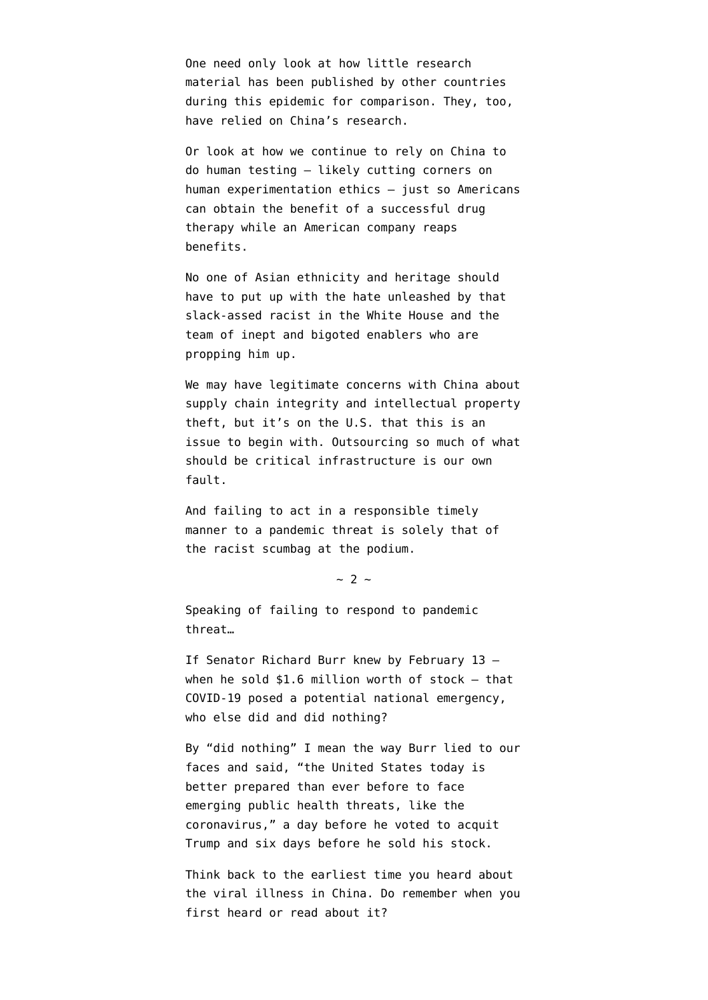One need only look at how little research material has been published by other countries during this epidemic for comparison. They, too, have relied on China's research.

Or look at how we continue to rely on China to do human testing – [likely cutting corners on](https://www.axios.com/trump-coronavirus-drug-china-gilead-f3afd89a-c66e-4ace-b546-53fb416ae34d.html) [human experimentation ethics](https://www.axios.com/trump-coronavirus-drug-china-gilead-f3afd89a-c66e-4ace-b546-53fb416ae34d.html) – just so Americans can obtain the benefit of a successful drug therapy while an American company reaps benefits.

No one of Asian ethnicity and heritage should have to put up with the hate unleashed by that slack-assed racist in the White House and the team of inept and bigoted enablers who are propping him up.

We may have legitimate concerns with China about [supply chain integrity](https://www.emptywheel.net/2018/10/08/rattled-chinas-hardware-hack/) and [intellectual property](https://www.justice.gov/opa/pr/harvard-university-professor-and-two-chinese-nationals-charged-three-separate-china-related) [theft](https://www.justice.gov/opa/pr/harvard-university-professor-and-two-chinese-nationals-charged-three-separate-china-related), but it's on the U.S. that this is an issue to begin with. Outsourcing so much of what should be critical infrastructure is our own fault.

And failing to act in a responsible timely manner to a pandemic threat is solely that of the racist scumbag at the podium.

 $\sim$  2  $\sim$ 

Speaking of failing to respond to pandemic threat…

If Senator Richard Burr knew by February 13 when he sold  $$1.6$  million worth of stock  $-$  that COVID-19 posed a potential national emergency, who else did and did nothing?

By "did nothing" I mean the way Burr lied to our faces and said, "the United States today is better prepared than ever before to face emerging public health threats, like the coronavirus," a day before he voted to acquit Trump and six days before he sold his stock.

Think back to the earliest time you heard about the viral illness in China. Do remember when you first heard or read about it?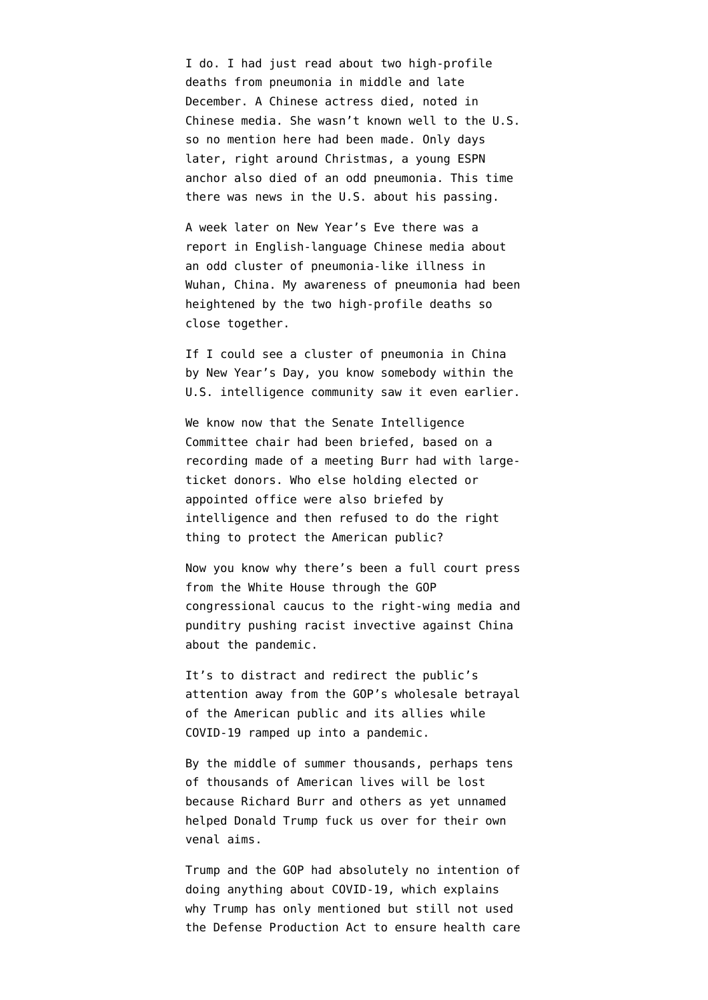I do. I had just read about two high-profile deaths from pneumonia in middle and late December. A Chinese actress died, noted in Chinese media. She wasn't known well to the U.S. so no mention here had been made. Only days later, right around Christmas, a young ESPN anchor also died of an odd pneumonia. This time there was news in the U.S. about his passing.

A week later on New Year's Eve there was a report in English-language Chinese media about an odd cluster of pneumonia-like illness in Wuhan, China. My awareness of pneumonia had been heightened by the two high-profile deaths so close together.

If I could see a cluster of pneumonia in China by New Year's Day, you know somebody within the U.S. intelligence community saw it even earlier.

We know now that the Senate Intelligence Committee chair had been briefed, based on a recording made of a meeting Burr had with largeticket donors. Who else holding elected or appointed office were also briefed by intelligence and then refused to do the right thing to protect the American public?

Now you know why there's been a full court press from the White House through the GOP congressional caucus to the right-wing media and [punditry](https://www.washingtonpost.com/opinions/2020/03/17/china-cared-more-about-suppressing-information-than-suppressing-virus-thats-why-were-here/) pushing racist invective against China about the pandemic.

It's to distract and redirect the public's attention away from the GOP's wholesale betrayal of the American public and its allies while COVID-19 ramped up into a pandemic.

By the middle of summer thousands, perhaps tens of thousands of American lives will be lost because Richard Burr and others as yet unnamed helped Donald Trump fuck us over for their own venal aims.

Trump and the GOP had absolutely no intention of doing anything about COVID-19, which explains why Trump has only mentioned but still not used the [Defense Production Act](https://en.wikipedia.org/wiki/Defense_Production_Act) to ensure health care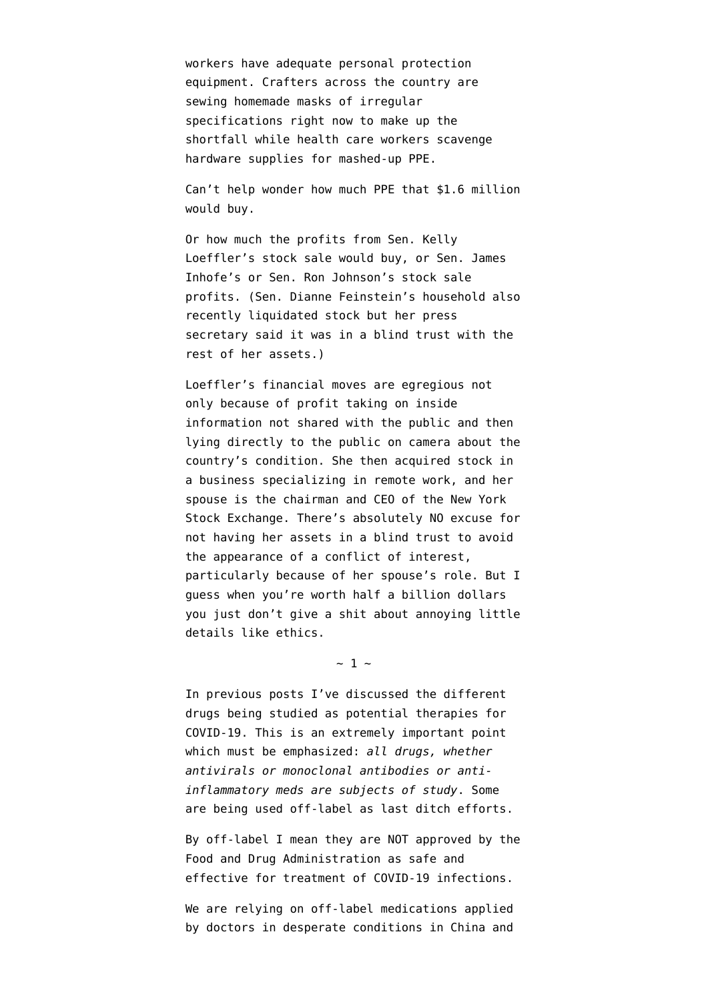workers have adequate personal protection equipment. Crafters across the country are [sewing homemade masks of irregular](https://www.forbes.com/sites/tjmccue/2020/03/20/calling-all-people-who-sew-and-make-you-can-help-solve-2020-n95-type-mask-shortage/) [specifications](https://www.forbes.com/sites/tjmccue/2020/03/20/calling-all-people-who-sew-and-make-you-can-help-solve-2020-n95-type-mask-shortage/) right now to make up the shortfall while health care workers [scavenge](https://www.statnews.com/2020/03/18/ppe-shortages-health-workers-afraid-scouring/) [hardware supplies](https://www.statnews.com/2020/03/18/ppe-shortages-health-workers-afraid-scouring/) for mashed-up PPE.

Can't help wonder how much PPE that \$1.6 million would buy.

Or how much the profits from [Sen. Kelly](https://www.thedailybeast.com/sen-kelly-loeffler-dumped-millions-in-stock-after-coronavirus-briefing) [Loeffler's stock sale would buy,](https://www.thedailybeast.com/sen-kelly-loeffler-dumped-millions-in-stock-after-coronavirus-briefing) or Sen. James Inhofe's or Sen. Ron Johnson's stock sale profits. (Sen. Dianne Feinstein's household also recently liquidated stock but her press secretary [said it was in a blind trust](https://twitter.com/charliearchy/status/1240838094506479628) with the rest of her assets.)

Loeffler's financial moves are egregious not only because of profit taking on inside information not shared with the public and then lying directly to the public on camera about the country's condition. She then acquired stock in a business specializing in remote work, and her spouse is the chairman and CEO of the New York Stock Exchange. There's absolutely NO excuse for not having her assets in a blind trust to avoid the appearance of a conflict of interest, particularly because of her spouse's role. But I guess when you're worth half a billion dollars you just don't give a shit about annoying little details like ethics.

 $\sim$  1  $\sim$ 

In previous posts I've discussed the different drugs being studied as potential therapies for COVID-19. This is an extremely important point which must be emphasized: *all drugs, whether antivirals or monoclonal antibodies or antiinflammatory meds are subjects of study*. Some are being used off-label as last ditch efforts.

By off-label I mean they are [NOT approved by the](https://en.wikipedia.org/wiki/Off-label_use) [Food and Drug Administration](https://en.wikipedia.org/wiki/Off-label_use) as safe and effective for treatment of COVID-19 infections.

We are relying on off-label medications applied by doctors in desperate conditions in China and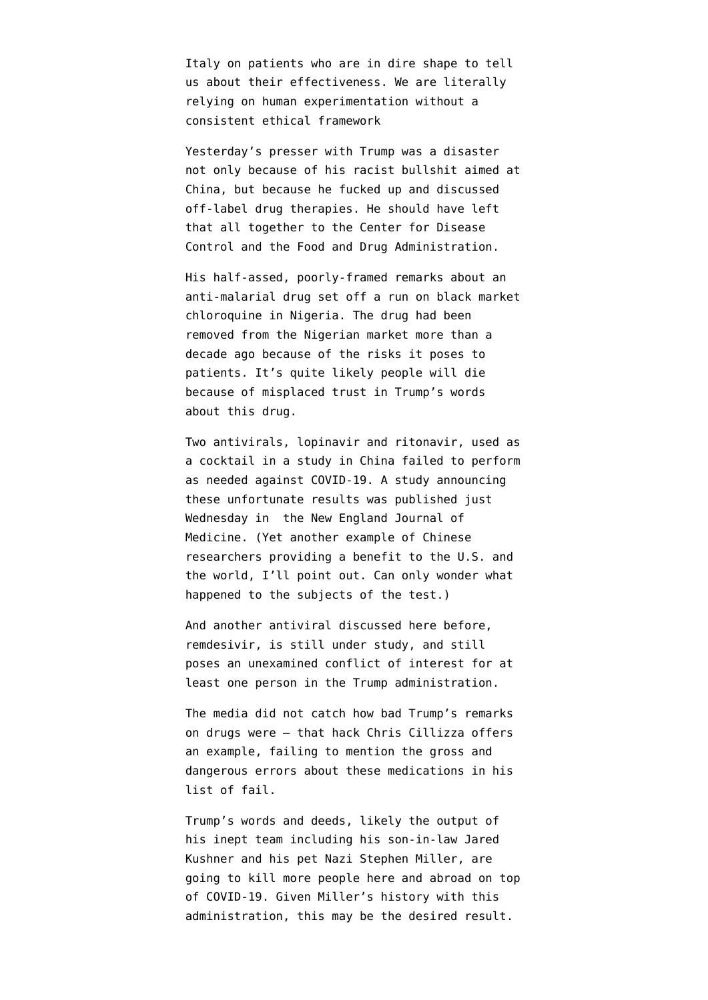Italy on patients who are in dire shape to tell us about their effectiveness. We are literally relying on human experimentation without a consistent ethical framework

Yesterday's presser with Trump was a disaster not only because of his racist bullshit aimed at China, but because he fucked up and discussed off-label drug therapies. He should have left that all together to the Center for Disease Control and the Food and Drug Administration.

His half-assed, poorly-framed remarks about an anti-malarial drug [set off a run on black market](https://twitter.com/OluwamayowaTJ/status/1240897878475837442) [chloroquine in Nigeria](https://twitter.com/OluwamayowaTJ/status/1240897878475837442). The drug had been removed from the Nigerian market more than a decade ago because of the risks it poses to patients. It's quite likely people will die because of misplaced trust in Trump's words about this drug.

Two antivirals, lopinavir and ritonavir, used as a cocktail in a study in China failed to perform as needed against COVID-19. A study announcing these unfortunate results was [published just](https://www.nejm.org/doi/full/10.1056/NEJMoa2001282) [Wednesday](https://www.nejm.org/doi/full/10.1056/NEJMoa2001282) in the New England Journal of Medicine. (Yet another example of Chinese researchers providing a benefit to the U.S. and the world, I'll point out. Can only wonder what happened to the subjects of the test.)

And another antiviral discussed here before, [remdesivir,](https://www.emptywheel.net/tag/remdesivir/) is still under study, and still poses an unexamined conflict of interest for at least one person in the Trump administration.

The media did not catch how bad Trump's remarks on drugs were — [that hack Chris Cillizza offers](https://www.cnn.com/2020/02/27/politics/donald-trump-coronavirus-press-conference/index.html) [an example,](https://www.cnn.com/2020/02/27/politics/donald-trump-coronavirus-press-conference/index.html) failing to mention the gross and dangerous errors about these medications in his list of fail.

Trump's words and deeds, likely the output of his inept team including his son-in-law Jared Kushner and his pet Nazi Stephen Miller, are going to kill more people here and abroad on top of COVID-19. Given Miller's history with this administration, this may be the desired result.